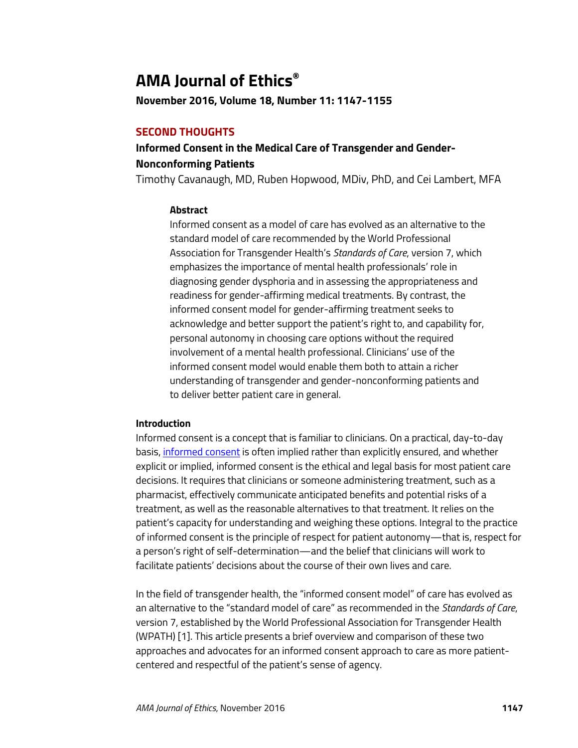# **AMA Journal of Ethics®**

**November 2016, Volume 18, Number 11: 1147-1155**

# **SECOND THOUGHTS**

# **Informed Consent in the Medical Care of Transgender and Gender-Nonconforming Patients**

Timothy Cavanaugh, MD, Ruben Hopwood, MDiv, PhD, and Cei Lambert, MFA

## **Abstract**

Informed consent as a model of care has evolved as an alternative to the standard model of care recommended by the World Professional Association for Transgender Health's *Standards of Care*, version 7, which emphasizes the importance of mental health professionals' role in diagnosing gender dysphoria and in assessing the appropriateness and readiness for gender-affirming medical treatments. By contrast, the informed consent model for gender-affirming treatment seeks to acknowledge and better support the patient's right to, and capability for, personal autonomy in choosing care options without the required involvement of a mental health professional. Clinicians' use of the informed consent model would enable them both to attain a richer understanding of transgender and gender-nonconforming patients and to deliver better patient care in general.

#### **Introduction**

Informed consent is a concept that is familiar to clinicians. On a practical, day-to-day basis, [informed consent](http://journalofethics.ama-assn.org/2012/07/hlaw1-1207.html) is often implied rather than explicitly ensured, and whether explicit or implied, informed consent is the ethical and legal basis for most patient care decisions. It requires that clinicians or someone administering treatment, such as a pharmacist, effectively communicate anticipated benefits and potential risks of a treatment, as well as the reasonable alternatives to that treatment. It relies on the patient's capacity for understanding and weighing these options. Integral to the practice of informed consent is the principle of respect for patient autonomy—that is, respect for a person's right of self-determination—and the belief that clinicians will work to facilitate patients' decisions about the course of their own lives and care.

In the field of transgender health, the "informed consent model" of care has evolved as an alternative to the "standard model of care" as recommended in the *Standards of Care*, version 7, established by the World Professional Association for Transgender Health (WPATH) [1]. This article presents a brief overview and comparison of these two approaches and advocates for an informed consent approach to care as more patientcentered and respectful of the patient's sense of agency.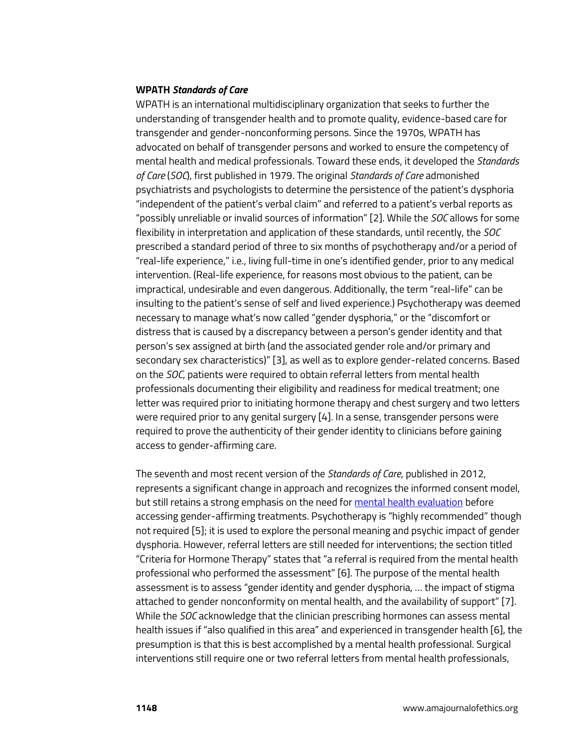#### **WPATH** *Standards of Care*

WPATH is an international multidisciplinary organization that seeks to further the understanding of transgender health and to promote quality, evidence-based care for transgender and gender-nonconforming persons. Since the 1970s, WPATH has advocated on behalf of transgender persons and worked to ensure the competency of mental health and medical professionals. Toward these ends, it developed the *Standards of Care* (*SOC*), first published in 1979. The original *Standards of Care* admonished psychiatrists and psychologists to determine the persistence of the patient's dysphoria "independent of the patient's verbal claim" and referred to a patient's verbal reports as "possibly unreliable or invalid sources of information" [2]. While the *SOC* allows for some flexibility in interpretation and application of these standards, until recently, the *SOC* prescribed a standard period of three to six months of psychotherapy and/or a period of "real-life experience," i.e., living full-time in one's identified gender, prior to any medical intervention. (Real-life experience, for reasons most obvious to the patient, can be impractical, undesirable and even dangerous. Additionally, the term "real-life" can be insulting to the patient's sense of self and lived experience.) Psychotherapy was deemed necessary to manage what's now called "gender dysphoria," or the "discomfort or distress that is caused by a discrepancy between a person's gender identity and that person's sex assigned at birth (and the associated gender role and/or primary and secondary sex characteristics)" [3], as well as to explore gender-related concerns. Based on the *SOC*, patients were required to obtain referral letters from mental health professionals documenting their eligibility and readiness for medical treatment; one letter was required prior to initiating hormone therapy and chest surgery and two letters were required prior to any genital surgery [4]. In a sense, transgender persons were required to prove the authenticity of their gender identity to clinicians before gaining access to gender-affirming care.

The seventh and most recent version of the *Standards of Care*, published in 2012, represents a significant change in approach and recognizes the informed consent model, but still retains a strong emphasis on the need fo[r mental health evaluation](http://journalofethics.ama-assn.org/2016/06/ecas2-1606.html) before accessing gender-affirming treatments. Psychotherapy is "highly recommended" though not required [5]; it is used to explore the personal meaning and psychic impact of gender dysphoria. However, referral letters are still needed for interventions; the section titled "Criteria for Hormone Therapy" states that "a referral is required from the mental health professional who performed the assessment" [6]. The purpose of the mental health assessment is to assess "gender identity and gender dysphoria, … the impact of stigma attached to gender nonconformity on mental health, and the availability of support" [7]. While the *SOC* acknowledge that the clinician prescribing hormones can assess mental health issues if "also qualified in this area" and experienced in transgender health [6], the presumption is that this is best accomplished by a mental health professional. Surgical interventions still require one or two referral letters from mental health professionals,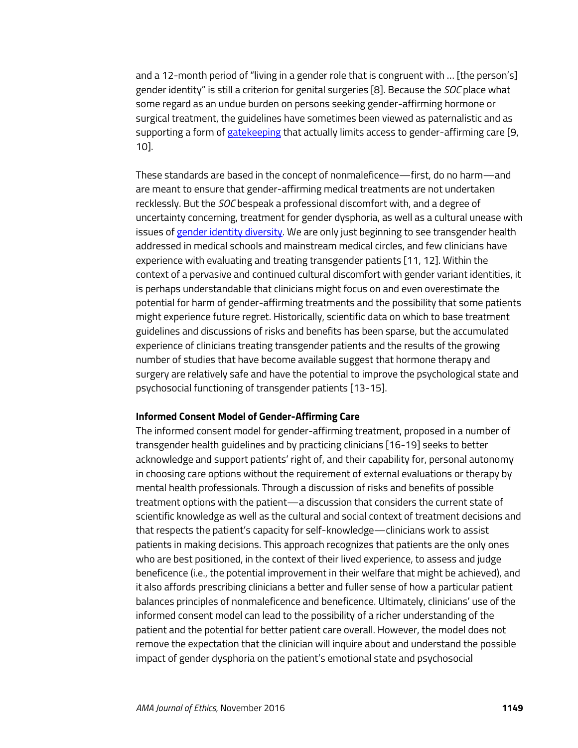and a 12-month period of "living in a gender role that is congruent with … [the person's] gender identity" is still a criterion for genital surgeries [8]. Because the *SOC* place what some regard as an undue burden on persons seeking gender-affirming hormone or surgical treatment, the guidelines have sometimes been viewed as paternalistic and as supporting a form of [gatekeeping](http://journalofethics.ama-assn.org/2014/11/mhst1-1411.html) that actually limits access to gender-affirming care [9, 10].

These standards are based in the concept of nonmaleficence—first, do no harm—and are meant to ensure that gender-affirming medical treatments are not undertaken recklessly. But the *SOC* bespeak a professional discomfort with, and a degree of uncertainty concerning, treatment for gender dysphoria, as well as a cultural unease with issues o[f gender identity diversity.](http://journalofethics.ama-assn.org/2016/11/msoc1-1611.html) We are only just beginning to see transgender health addressed in medical schools and mainstream medical circles, and few clinicians have experience with evaluating and treating transgender patients [11, 12]. Within the context of a pervasive and continued cultural discomfort with gender variant identities, it is perhaps understandable that clinicians might focus on and even overestimate the potential for harm of gender-affirming treatments and the possibility that some patients might experience future regret. Historically, scientific data on which to base treatment guidelines and discussions of risks and benefits has been sparse, but the accumulated experience of clinicians treating transgender patients and the results of the growing number of studies that have become available suggest that hormone therapy and surgery are relatively safe and have the potential to improve the psychological state and psychosocial functioning of transgender patients [13-15].

#### **Informed Consent Model of Gender-Affirming Care**

The informed consent model for gender-affirming treatment, proposed in a number of transgender health guidelines and by practicing clinicians [16-19] seeks to better acknowledge and support patients' right of, and their capability for, personal autonomy in choosing care options without the requirement of external evaluations or therapy by mental health professionals. Through a discussion of risks and benefits of possible treatment options with the patient—a discussion that considers the current state of scientific knowledge as well as the cultural and social context of treatment decisions and that respects the patient's capacity for self-knowledge—clinicians work to assist patients in making decisions. This approach recognizes that patients are the only ones who are best positioned, in the context of their lived experience, to assess and judge beneficence (i.e., the potential improvement in their welfare that might be achieved), and it also affords prescribing clinicians a better and fuller sense of how a particular patient balances principles of nonmaleficence and beneficence. Ultimately, clinicians' use of the informed consent model can lead to the possibility of a richer understanding of the patient and the potential for better patient care overall. However, the model does not remove the expectation that the clinician will inquire about and understand the possible impact of gender dysphoria on the patient's emotional state and psychosocial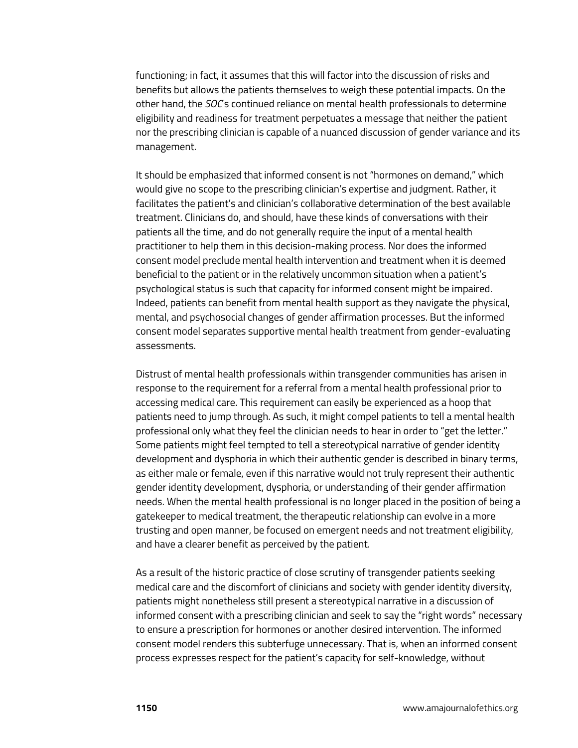functioning; in fact, it assumes that this will factor into the discussion of risks and benefits but allows the patients themselves to weigh these potential impacts. On the other hand, the *SOC*'s continued reliance on mental health professionals to determine eligibility and readiness for treatment perpetuates a message that neither the patient nor the prescribing clinician is capable of a nuanced discussion of gender variance and its management.

It should be emphasized that informed consent is not "hormones on demand," which would give no scope to the prescribing clinician's expertise and judgment. Rather, it facilitates the patient's and clinician's collaborative determination of the best available treatment. Clinicians do, and should, have these kinds of conversations with their patients all the time, and do not generally require the input of a mental health practitioner to help them in this decision-making process. Nor does the informed consent model preclude mental health intervention and treatment when it is deemed beneficial to the patient or in the relatively uncommon situation when a patient's psychological status is such that capacity for informed consent might be impaired. Indeed, patients can benefit from mental health support as they navigate the physical, mental, and psychosocial changes of gender affirmation processes. But the informed consent model separates supportive mental health treatment from gender-evaluating assessments.

Distrust of mental health professionals within transgender communities has arisen in response to the requirement for a referral from a mental health professional prior to accessing medical care. This requirement can easily be experienced as a hoop that patients need to jump through. As such, it might compel patients to tell a mental health professional only what they feel the clinician needs to hear in order to "get the letter." Some patients might feel tempted to tell a stereotypical narrative of gender identity development and dysphoria in which their authentic gender is described in binary terms, as either male or female, even if this narrative would not truly represent their authentic gender identity development, dysphoria, or understanding of their gender affirmation needs. When the mental health professional is no longer placed in the position of being a gatekeeper to medical treatment, the therapeutic relationship can evolve in a more trusting and open manner, be focused on emergent needs and not treatment eligibility, and have a clearer benefit as perceived by the patient.

As a result of the historic practice of close scrutiny of transgender patients seeking medical care and the discomfort of clinicians and society with gender identity diversity, patients might nonetheless still present a stereotypical narrative in a discussion of informed consent with a prescribing clinician and seek to say the "right words" necessary to ensure a prescription for hormones or another desired intervention. The informed consent model renders this subterfuge unnecessary. That is, when an informed consent process expresses respect for the patient's capacity for self-knowledge, without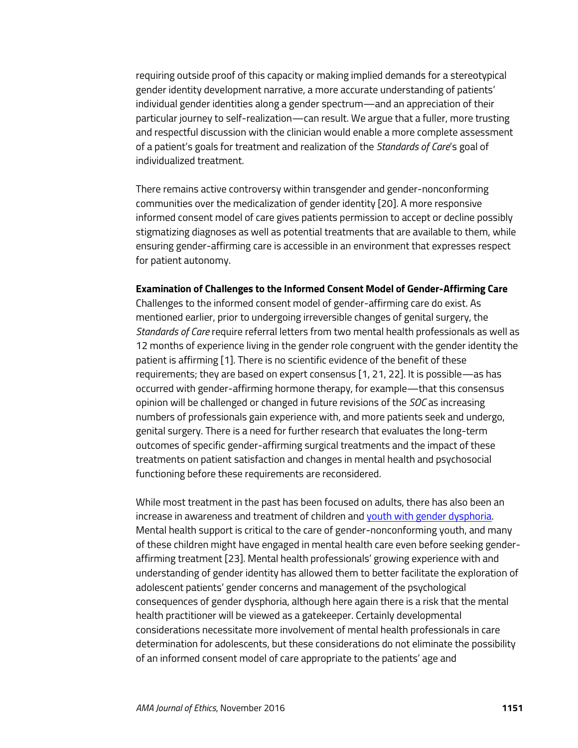requiring outside proof of this capacity or making implied demands for a stereotypical gender identity development narrative, a more accurate understanding of patients' individual gender identities along a gender spectrum—and an appreciation of their particular journey to self-realization—can result. We argue that a fuller, more trusting and respectful discussion with the clinician would enable a more complete assessment of a patient's goals for treatment and realization of the *Standards of Care*'s goal of individualized treatment.

There remains active controversy within transgender and gender-nonconforming communities over the medicalization of gender identity [20]. A more responsive informed consent model of care gives patients permission to accept or decline possibly stigmatizing diagnoses as well as potential treatments that are available to them, while ensuring gender-affirming care is accessible in an environment that expresses respect for patient autonomy.

#### **Examination of Challenges to the Informed Consent Model of Gender-Affirming Care**

Challenges to the informed consent model of gender-affirming care do exist. As mentioned earlier, prior to undergoing irreversible changes of genital surgery, the *Standards of Care* require referral letters from two mental health professionals as well as 12 months of experience living in the gender role congruent with the gender identity the patient is affirming [1]. There is no scientific evidence of the benefit of these requirements; they are based on expert consensus [1, 21, 22]. It is possible—as has occurred with gender-affirming hormone therapy, for example—that this consensus opinion will be challenged or changed in future revisions of the *SOC* as increasing numbers of professionals gain experience with, and more patients seek and undergo, genital surgery. There is a need for further research that evaluates the long-term outcomes of specific gender-affirming surgical treatments and the impact of these treatments on patient satisfaction and changes in mental health and psychosocial functioning before these requirements are reconsidered.

While most treatment in the past has been focused on adults, there has also been an increase in awareness and treatment of children an[d youth with gender dysphoria.](http://journalofethics.ama-assn.org/2016/11/ecas2-1611.html) Mental health support is critical to the care of gender-nonconforming youth, and many of these children might have engaged in mental health care even before seeking genderaffirming treatment [23]. Mental health professionals' growing experience with and understanding of gender identity has allowed them to better facilitate the exploration of adolescent patients' gender concerns and management of the psychological consequences of gender dysphoria, although here again there is a risk that the mental health practitioner will be viewed as a gatekeeper. Certainly developmental considerations necessitate more involvement of mental health professionals in care determination for adolescents, but these considerations do not eliminate the possibility of an informed consent model of care appropriate to the patients' age and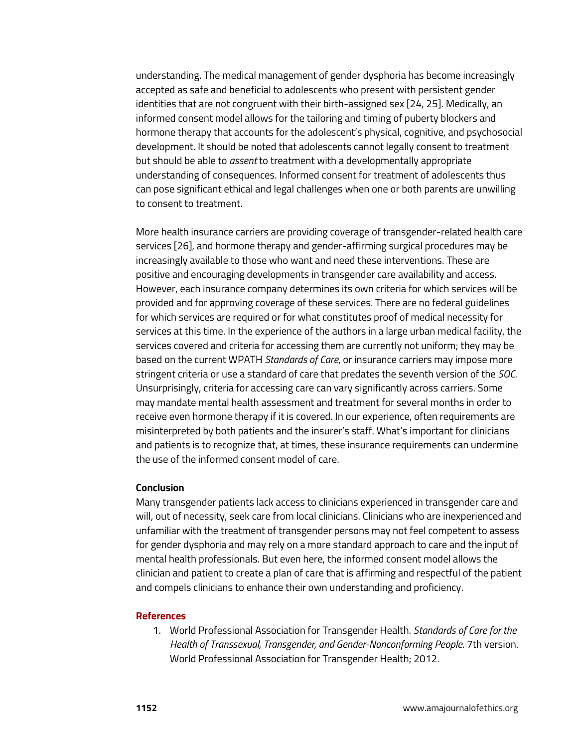understanding. The medical management of gender dysphoria has become increasingly accepted as safe and beneficial to adolescents who present with persistent gender identities that are not congruent with their birth-assigned sex [24, 25]. Medically, an informed consent model allows for the tailoring and timing of puberty blockers and hormone therapy that accounts for the adolescent's physical, cognitive, and psychosocial development. It should be noted that adolescents cannot legally consent to treatment but should be able to *assent* to treatment with a developmentally appropriate understanding of consequences. Informed consent for treatment of adolescents thus can pose significant ethical and legal challenges when one or both parents are unwilling to consent to treatment.

More health insurance carriers are providing coverage of transgender-related health care services [26], and hormone therapy and gender-affirming surgical procedures may be increasingly available to those who want and need these interventions. These are positive and encouraging developments in transgender care availability and access. However, each insurance company determines its own criteria for which services will be provided and for approving coverage of these services. There are no federal guidelines for which services are required or for what constitutes proof of medical necessity for services at this time. In the experience of the authors in a large urban medical facility, the services covered and criteria for accessing them are currently not uniform; they may be based on the current WPATH *Standards of Care*, or insurance carriers may impose more stringent criteria or use a standard of care that predates the seventh version of the *SOC*. Unsurprisingly, criteria for accessing care can vary significantly across carriers. Some may mandate mental health assessment and treatment for several months in order to receive even hormone therapy if it is covered. In our experience, often requirements are misinterpreted by both patients and the insurer's staff. What's important for clinicians and patients is to recognize that, at times, these insurance requirements can undermine the use of the informed consent model of care.

### **Conclusion**

Many transgender patients lack access to clinicians experienced in transgender care and will, out of necessity, seek care from local clinicians. Clinicians who are inexperienced and unfamiliar with the treatment of transgender persons may not feel competent to assess for gender dysphoria and may rely on a more standard approach to care and the input of mental health professionals. But even here, the informed consent model allows the clinician and patient to create a plan of care that is affirming and respectful of the patient and compels clinicians to enhance their own understanding and proficiency.

#### **References**

1. World Professional Association for Transgender Health. *Standards of Care for the Health of Transsexual, Transgender, and Gender-Nonconforming People*. 7th version. World Professional Association for Transgender Health; 2012.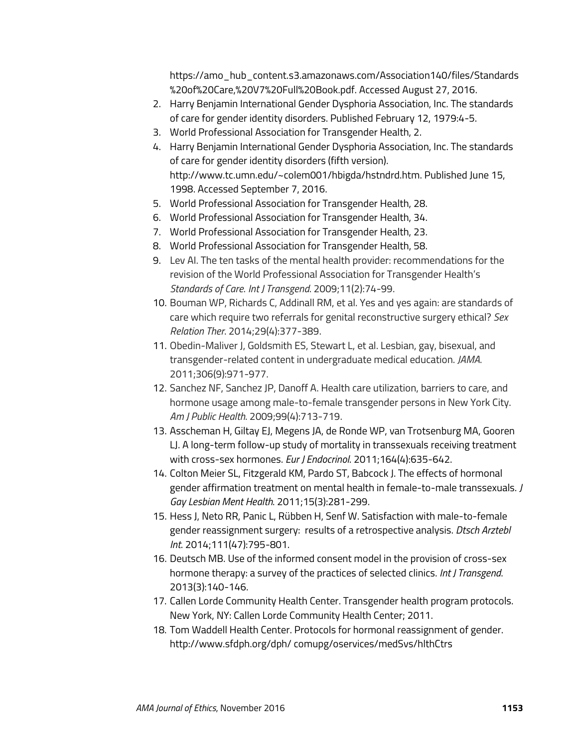https://amo\_hub\_content.s3.amazonaws.com/Association140/files/Standards %20of%20Care,%20V7%20Full%20Book.pdf. Accessed August 27, 2016.

- 2. Harry Benjamin International Gender Dysphoria Association, Inc. The standards of care for gender identity disorders. Published February 12, 1979:4-5.
- 3. World Professional Association for Transgender Health, 2.
- 4. Harry Benjamin International Gender Dysphoria Association, Inc. The standards of care for gender identity disorders (fifth version). http://www.tc.umn.edu/~colem001/hbigda/hstndrd.htm. Published June 15, 1998. Accessed September 7, 2016.
- 5. World Professional Association for Transgender Health, 28.
- 6. World Professional Association for Transgender Health, 34.
- 7. World Professional Association for Transgender Health, 23.
- 8. World Professional Association for Transgender Health, 58.
- 9. Lev AI. The ten tasks of the mental health provider: recommendations for the revision of the World Professional Association for Transgender Health's *Standards of Care*. *Int J Transgend*. 2009;11(2):74-99.
- 10. Bouman WP, Richards C, Addinall RM, et al. Yes and yes again: are standards of care which require two referrals for genital reconstructive surgery ethical? *Sex Relation Ther*. 2014;29(4):377-389.
- 11. Obedin-Maliver J, Goldsmith ES, Stewart L, et al. Lesbian, gay, bisexual, and transgender-related content in undergraduate medical education. *JAMA*. 2011;306(9):971-977.
- 12. Sanchez NF, Sanchez JP, Danoff A. Health care utilization, barriers to care, and hormone usage among male-to-female transgender persons in New York City. *Am J Public Health*. 2009;99(4):713-719.
- 13. Asscheman H, Giltay EJ, Megens JA, de Ronde WP, van Trotsenburg MA, Gooren LJ. A long-term follow-up study of mortality in transsexuals receiving treatment with cross-sex hormones. *Eur J Endocrinol*. 2011;164(4):635-642.
- 14. Colton Meier SL, Fitzgerald KM, Pardo ST, Babcock J. The effects of hormonal gender affirmation treatment on mental health in female-to-male transsexuals. *J Gay Lesbian Ment Health*. 2011;15(3):281-299.
- 15. Hess J, Neto RR, Panic L, Rübben H, Senf W. Satisfaction with male-to-female gender reassignment surgery: results of a retrospective analysis. *Dtsch Arztebl Int*. 2014;111(47):795-801.
- 16. Deutsch MB. Use of the informed consent model in the provision of cross-sex hormone therapy: a survey of the practices of selected clinics. *Int J Transgend*. 2013(3):140-146.
- 17. Callen Lorde Community Health Center. Transgender health program protocols. New York, NY: Callen Lorde Community Health Center; 2011.
- 18. Tom Waddell Health Center. Protocols for hormonal reassignment of gender. http://www.sfdph.org/dph/ comupg/oservices/medSvs/hlthCtrs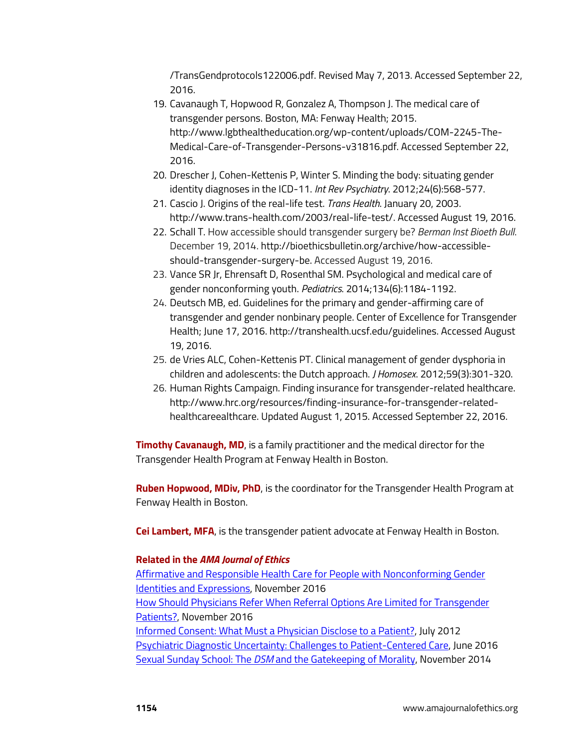/TransGendprotocols122006.pdf. Revised May 7, 2013. Accessed September 22, 2016.

- 19. Cavanaugh T, Hopwood R, Gonzalez A, Thompson J. The medical care of transgender persons. Boston, MA: Fenway Health; 2015. http://www.lgbthealtheducation.org/wp-content/uploads/COM-2245-The-Medical-Care-of-Transgender-Persons-v31816.pdf. Accessed September 22, 2016.
- 20. Drescher J, Cohen-Kettenis P, Winter S. Minding the body: situating gender identity diagnoses in the ICD-11. *Int Rev Psychiatry*. 2012;24(6):568-577.
- 21. Cascio J. Origins of the real-life test. *Trans Health*. January 20, 2003. http://www.trans-health.com/2003/real-life-test/. Accessed August 19, 2016.
- 22. Schall T. How accessible should transgender surgery be? *Berman Inst Bioeth Bull*. December 19, 2014. http://bioethicsbulletin.org/archive/how-accessibleshould-transgender-surgery-be. Accessed August 19, 2016.
- 23. Vance SR Jr, Ehrensaft D, Rosenthal SM. Psychological and medical care of gender nonconforming youth. *Pediatrics*. 2014;134(6):1184-1192.
- 24. Deutsch MB, ed. Guidelines for the primary and gender-affirming care of transgender and gender nonbinary people. Center of Excellence for Transgender Health; June 17, 2016. http://transhealth.ucsf.edu/guidelines. Accessed August 19, 2016.
- 25. de Vries ALC, Cohen-Kettenis PT. Clinical management of gender dysphoria in children and adolescents: the Dutch approach. *J Homosex*. 2012;59(3):301-320.
- 26. Human Rights Campaign. Finding insurance for transgender-related healthcare. http://www.hrc.org/resources/finding-insurance-for-transgender-relatedhealthcareealthcare. Updated August 1, 2015. Accessed September 22, 2016.

**Timothy Cavanaugh, MD**, is a family practitioner and the medical director for the Transgender Health Program at Fenway Health in Boston.

**Ruben Hopwood, MDiv, PhD**, is the coordinator for the Transgender Health Program at Fenway Health in Boston.

**Cei Lambert, MFA**, is the transgender patient advocate at Fenway Health in Boston.

#### **Related in the** *AMA Journal of Ethics*

[Affirmative and Responsible Health Care for People with Nonconforming Gender](http://journalofethics.ama-assn.org/2016/11/pfor1-1611.html)  [Identities and Expressions,](http://journalofethics.ama-assn.org/2016/11/pfor1-1611.html) November 2016 [How Should Physicians Refer When Referral Options Are Limited for Transgender](http://journalofethics.ama-assn.org/2016/11/ecas1-1611.html)  [Patients?,](http://journalofethics.ama-assn.org/2016/11/ecas1-1611.html) November 2016 [Informed Consent: What Must a Physician Disclose to a Patient?,](http://journalofethics.ama-assn.org/2012/07/hlaw1-1207.html) July 2012 [Psychiatric Diagnostic Uncertainty: Challenges to Patient-Centered Care,](http://journalofethics.ama-assn.org/2016/06/ecas2-1606.html) June 2016 Sexual Sunday School: The *DSM* [and the Gatekeeping of Morality,](http://journalofethics.ama-assn.org/2014/11/mhst1-1411.html) November 2014